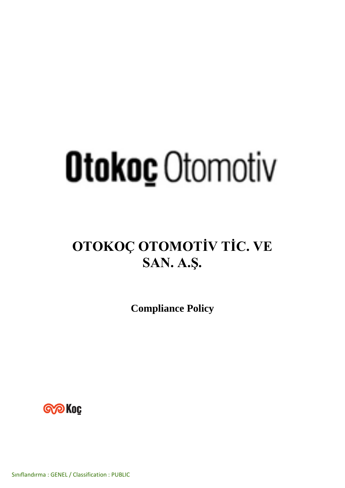# **Otokoc** Otomotiv

## **OTOKOÇ OTOMOTİV TİC. VE SAN. A.Ş.**

**Compliance Policy**



Sınıflandırma : GENEL / Classification : PUBLIC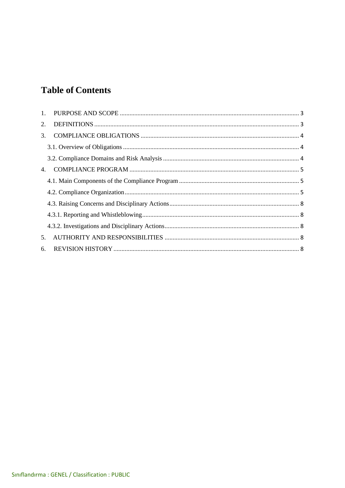### **Table of Contents**

| 2.               |  |
|------------------|--|
| $\mathfrak{Z}$ . |  |
|                  |  |
|                  |  |
| 4.               |  |
|                  |  |
|                  |  |
|                  |  |
|                  |  |
|                  |  |
| 5 <sub>1</sub>   |  |
| 6.               |  |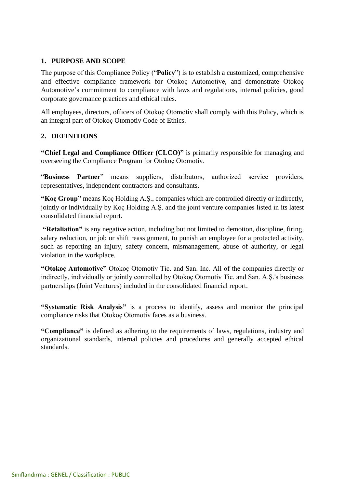#### <span id="page-2-0"></span>**1. PURPOSE AND SCOPE**

The purpose of this Compliance Policy ("**Policy**") is to establish a customized, comprehensive and effective compliance framework for Otokoç Automotive, and demonstrate Otokoç Automotive's commitment to compliance with laws and regulations, internal policies, good corporate governance practices and ethical rules.

All employees, directors, officers of Otokoç Otomotiv shall comply with this Policy, which is an integral part of Otokoç Otomotiv Code of Ethics.

#### <span id="page-2-1"></span>**2. DEFINITIONS**

**"Chief Legal and Compliance Officer (CLCO)"** is primarily responsible for managing and overseeing the Compliance Program for Otokoç Otomotiv.

"**Business Partner**" means suppliers, distributors, authorized service providers, representatives, independent contractors and consultants.

**"Koç Group"** means Koç Holding A.Ş., companies which are controlled directly or indirectly, jointly or individually by Koç Holding A.Ş. and the joint venture companies listed in its latest consolidated financial report.

**"Retaliation"** is any negative action, including but not limited to demotion, discipline, firing, salary reduction, or job or shift reassignment, to punish an employee for a protected activity, such as reporting an injury, safety concern, mismanagement, abuse of authority, or legal violation in the workplace.

**"Otokoç Automotive"** Otokoç Otomotiv Tic. and San. Inc. All of the companies directly or indirectly, individually or jointly controlled by Otokoç Otomotiv Tic. and San. A.Ş.'s business partnerships (Joint Ventures) included in the consolidated financial report.

**"Systematic Risk Analysis"** is a process to identify, assess and monitor the principal compliance risks that Otokoç Otomotiv faces as a business.

**"Compliance"** is defined as adhering to the requirements of laws, regulations, industry and organizational standards, internal policies and procedures and generally accepted ethical standards.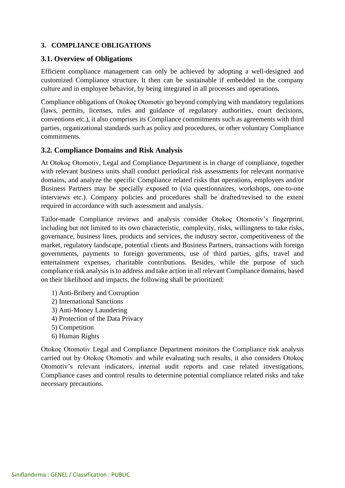#### <span id="page-3-0"></span>**3. COMPLIANCE OBLIGATIONS**

#### <span id="page-3-1"></span>**3.1. Overview of Obligations**

Efficient compliance management can only be achieved by adopting a well-designed and customized Compliance structure. It then can be sustainable if embedded in the company culture and in employee behavior, by being integrated in all processes and operations.

Compliance obligations of Otokoç Otomotiv go beyond complying with mandatory regulations (laws, permits, licenses, rules and guidance of regulatory authorities, court decisions, conventions etc.), it also comprises its Compliance commitments such as agreements with third parties, organizational standards such as policy and procedures, or other voluntary Compliance commitments.

#### <span id="page-3-2"></span>**3.2. Compliance Domains and Risk Analysis**

At Otokoç Otomotiv, Legal and Compliance Department is in charge of compliance, together with relevant business units shall conduct periodical risk assessments for relevant normative domains, and analyze the specific Compliance related risks that operations, employees and/or Business Partners may be specially exposed to (via questionnaires, workshops, one-to-one interviews etc.). Company policies and procedures shall be drafted/revised to the extent required in accordance with such assessment and analysis.

Tailor-made Compliance reviews and analysis consider Otokoç Otomotiv's fingerprint, including but not limited to its own characteristic, complexity, risks, willingness to take risks, governance, business lines, products and services, the industry sector, competitiveness of the market, regulatory landscape, potential clients and Business Partners, transactions with foreign governments, payments to foreign governments, use of third parties, gifts, travel and entertainment expenses, charitable contributions. Besides, while the purpose of such compliance risk analysisis to address and take action in all relevant Compliance domains, based on their likelihood and impacts, the following shall be prioritized:

- 1) Anti-Bribery and Corruption
- 2) International Sanctions
- 3) Anti-Money Laundering
- 4) Protection of the Data Privacy
- 5) Competition
- 6) Human Rights

Otokoç Otomotiv Legal and Compliance Department monitors the Compliance risk analysis carried out by Otokoç Otomotiv and while evaluating such results, it also considers Otokoç Otomotiv's relevant indicators, internal audit reports and case related investigations, Compliance cases and control results to determine potential compliance related risks and take necessary precautions.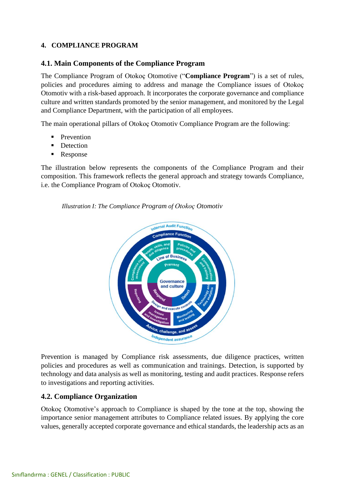#### <span id="page-4-0"></span>**4. COMPLIANCE PROGRAM**

#### <span id="page-4-1"></span>**4.1. Main Components of the Compliance Program**

The Compliance Program of Otokoç Otomotive ("**Compliance Program**") is a set of rules, policies and procedures aiming to address and manage the Compliance issues of Otokoç Otomotiv with a risk-based approach. It incorporates the corporate governance and compliance culture and written standards promoted by the senior management, and monitored by the Legal and Compliance Department, with the participation of all employees.

The main operational pillars of Otokoç Otomotiv Compliance Program are the following:

- **•** Prevention
- Detection
- Response

The illustration below represents the components of the Compliance Program and their composition. This framework reflects the general approach and strategy towards Compliance, i.e. the Compliance Program of Otokoç Otomotiv.

*Illustration I: The Compliance Program of Otokoç Otomotiv*



Prevention is managed by Compliance risk assessments, due diligence practices, written policies and procedures as well as communication and trainings. Detection, is supported by technology and data analysis as well as monitoring, testing and audit practices. Response refers to investigations and reporting activities.

#### <span id="page-4-2"></span>**4.2. Compliance Organization**

Otokoç Otomotive's approach to Compliance is shaped by the tone at the top, showing the importance senior management attributes to Compliance related issues. By applying the core values, generally accepted corporate governance and ethical standards, the leadership acts as an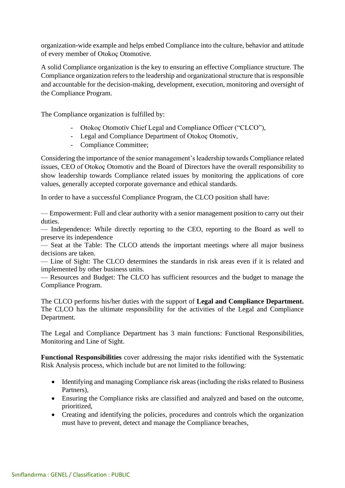organization-wide example and helps embed Compliance into the culture, behavior and attitude of every member of Otokoç Otomotive.

A solid Compliance organization is the key to ensuring an effective Compliance structure. The Compliance organization refers to the leadership and organizational structure that is responsible and accountable for the decision-making, development, execution, monitoring and oversight of the Compliance Program.

The Compliance organization is fulfilled by:

- Otokoç Otomotiv Chief Legal and Compliance Officer ("CLCO"),
- Legal and Compliance Department of Otokoç Otomotiv,
- Compliance Committee;

Considering the importance of the senior management's leadership towards Compliance related issues, CEO of Otokoç Otomotiv and the Board of Directors have the overall responsibility to show leadership towards Compliance related issues by monitoring the applications of core values, generally accepted corporate governance and ethical standards.

In order to have a successful Compliance Program, the CLCO position shall have:

— Empowerment: Full and clear authority with a senior management position to carry out their duties.

— Independence: While directly reporting to the CEO, reporting to the Board as well to preserve its independence

— Seat at the Table: The CLCO attends the important meetings where all major business decisions are taken.

— Line of Sight: The CLCO determines the standards in risk areas even if it is related and implemented by other business units.

— Resources and Budget: The CLCO has sufficient resources and the budget to manage the Compliance Program.

The CLCO performs his/her duties with the support of **Legal and Compliance Department.**  The CLCO has the ultimate responsibility for the activities of the Legal and Compliance Department.

The Legal and Compliance Department has 3 main functions: Functional Responsibilities, Monitoring and Line of Sight.

**Functional Responsibilities** cover addressing the major risks identified with the Systematic Risk Analysis process, which include but are not limited to the following:

- Identifying and managing Compliance risk areas (including the risks related to Business Partners),
- Ensuring the Compliance risks are classified and analyzed and based on the outcome, prioritized,
- Creating and identifying the policies, procedures and controls which the organization must have to prevent, detect and manage the Compliance breaches,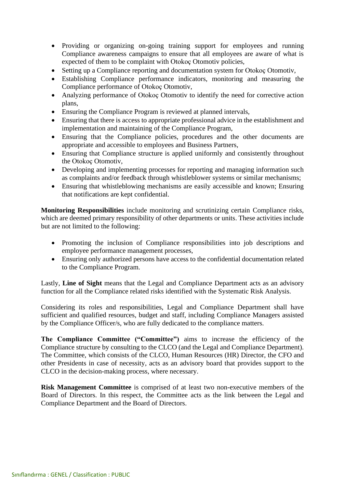- Providing or organizing on-going training support for employees and running Compliance awareness campaigns to ensure that all employees are aware of what is expected of them to be complaint with Otokoç Otomotiv policies,
- Setting up a Compliance reporting and documentation system for Otokoç Otomotiv,
- Establishing Compliance performance indicators, monitoring and measuring the Compliance performance of Otokoç Otomotiv,
- Analyzing performance of Otokoç Otomotiv to identify the need for corrective action plans,
- Ensuring the Compliance Program is reviewed at planned intervals,
- Ensuring that there is access to appropriate professional advice in the establishment and implementation and maintaining of the Compliance Program,
- Ensuring that the Compliance policies, procedures and the other documents are appropriate and accessible to employees and Business Partners,
- Ensuring that Compliance structure is applied uniformly and consistently throughout the Otokoç Otomotiv,
- Developing and implementing processes for reporting and managing information such as complaints and/or feedback through whistleblower systems or similar mechanisms;
- Ensuring that whistleblowing mechanisms are easily accessible and known; Ensuring that notifications are kept confidential.

**Monitoring Responsibilities** include monitoring and scrutinizing certain Compliance risks, which are deemed primary responsibility of other departments or units. These activities include but are not limited to the following:

- Promoting the inclusion of Compliance responsibilities into job descriptions and employee performance management processes,
- Ensuring only authorized persons have access to the confidential documentation related to the Compliance Program.

Lastly, **Line of Sight** means that the Legal and Compliance Department acts as an advisory function for all the Compliance related risks identified with the Systematic Risk Analysis.

Considering its roles and responsibilities, Legal and Compliance Department shall have sufficient and qualified resources, budget and staff, including Compliance Managers assisted by the Compliance Officer/s, who are fully dedicated to the compliance matters.

**The Compliance Committee ("Committee")** aims to increase the efficiency of the Compliance structure by consulting to the CLCO (and the Legal and Compliance Department). The Committee, which consists of the CLCO, Human Resources (HR) Director, the CFO and other Presidents in case of necessity, acts as an advisory board that provides support to the CLCO in the decision-making process, where necessary.

**Risk Management Committee** is comprised of at least two non-executive members of the Board of Directors. In this respect, the Committee acts as the link between the Legal and Compliance Department and the Board of Directors.